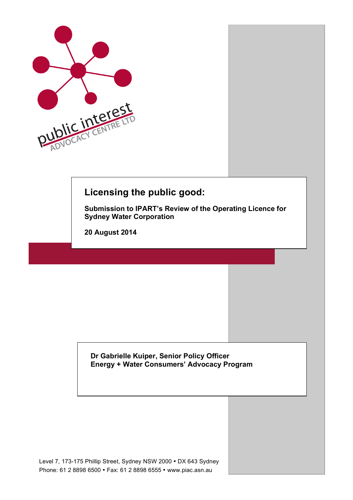

# **Licensing the public good:**

**Submission to IPART's Review of the Operating Licence for Sydney Water Corporation**

**20 August 2014**

**Dr Gabrielle Kuiper, Senior Policy Officer Energy + Water Consumers' Advocacy Program**

Level 7, 173-175 Phillip Street, Sydney NSW 2000 • DX 643 Sydney Phone: 61 2 8898 6500 • Fax: 61 2 8898 6555 • www.piac.asn.au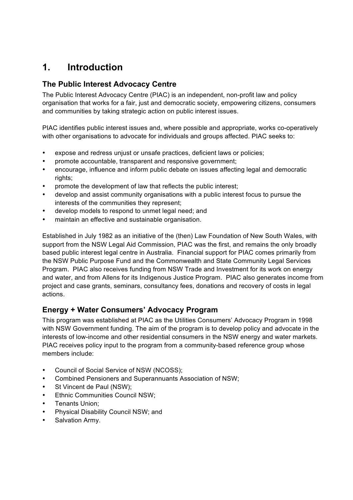# **1. Introduction**

### **The Public Interest Advocacy Centre**

The Public Interest Advocacy Centre (PIAC) is an independent, non-profit law and policy organisation that works for a fair, just and democratic society, empowering citizens, consumers and communities by taking strategic action on public interest issues.

PIAC identifies public interest issues and, where possible and appropriate, works co-operatively with other organisations to advocate for individuals and groups affected. PIAC seeks to:

- expose and redress unjust or unsafe practices, deficient laws or policies;
- promote accountable, transparent and responsive government;
- encourage, influence and inform public debate on issues affecting legal and democratic rights;
- promote the development of law that reflects the public interest;
- develop and assist community organisations with a public interest focus to pursue the interests of the communities they represent;
- develop models to respond to unmet legal need; and
- maintain an effective and sustainable organisation.

Established in July 1982 as an initiative of the (then) Law Foundation of New South Wales, with support from the NSW Legal Aid Commission, PIAC was the first, and remains the only broadly based public interest legal centre in Australia. Financial support for PIAC comes primarily from the NSW Public Purpose Fund and the Commonwealth and State Community Legal Services Program. PIAC also receives funding from NSW Trade and Investment for its work on energy and water, and from Allens for its Indigenous Justice Program. PIAC also generates income from project and case grants, seminars, consultancy fees, donations and recovery of costs in legal actions.

### **Energy + Water Consumers' Advocacy Program**

This program was established at PIAC as the Utilities Consumers' Advocacy Program in 1998 with NSW Government funding. The aim of the program is to develop policy and advocate in the interests of low-income and other residential consumers in the NSW energy and water markets. PIAC receives policy input to the program from a community-based reference group whose members include:

- Council of Social Service of NSW (NCOSS);
- Combined Pensioners and Superannuants Association of NSW;
- St Vincent de Paul (NSW);
- **Ethnic Communities Council NSW:**
- Tenants Union;
- Physical Disability Council NSW; and
- Salvation Army.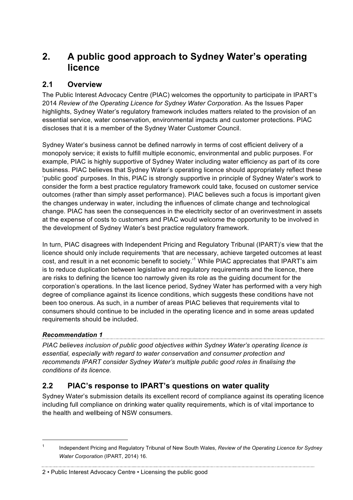# **2. A public good approach to Sydney Water's operating licence**

### **2.1 Overview**

The Public Interest Advocacy Centre (PIAC) welcomes the opportunity to participate in IPART's 2014 *Review of the Operating Licence for Sydney Water Corporation*. As the Issues Paper highlights, Sydney Water's regulatory framework includes matters related to the provision of an essential service, water conservation, environmental impacts and customer protections. PIAC discloses that it is a member of the Sydney Water Customer Council.

Sydney Water's business cannot be defined narrowly in terms of cost efficient delivery of a monopoly service; it exists to fulfill multiple economic, environmental and public purposes. For example, PIAC is highly supportive of Sydney Water including water efficiency as part of its core business. PIAC believes that Sydney Water's operating licence should appropriately reflect these 'public good' purposes. In this, PIAC is strongly supportive in principle of Sydney Water's work to consider the form a best practice regulatory framework could take, focused on customer service outcomes (rather than simply asset performance). PIAC believes such a focus is important given the changes underway in water, including the influences of climate change and technological change. PIAC has seen the consequences in the electricity sector of an overinvestment in assets at the expense of costs to customers and PIAC would welcome the opportunity to be involved in the development of Sydney Water's best practice regulatory framework.

In turn, PIAC disagrees with Independent Pricing and Regulatory Tribunal (IPART)'s view that the licence should only include requirements 'that are necessary, achieve targeted outcomes at least cost, and result in a net economic benefit to society.'<sup>1</sup> While PIAC appreciates that IPART's aim is to reduce duplication between legislative and regulatory requirements and the licence, there are risks to defining the licence too narrowly given its role as the guiding document for the corporation's operations. In the last licence period, Sydney Water has performed with a very high degree of compliance against its licence conditions, which suggests these conditions have not been too onerous. As such, in a number of areas PIAC believes that requirements vital to consumers should continue to be included in the operating licence and in some areas updated requirements should be included.

### *Recommendation 1*

*PIAC believes inclusion of public good objectives within Sydney Water's operating licence is essential, especially with regard to water conservation and consumer protection and recommends IPART consider Sydney Water's multiple public good roles in finalising the conditions of its licence.*

## **2.2 PIAC's response to IPART's questions on water quality**

Sydney Water's submission details its excellent record of compliance against its operating licence including full compliance on drinking water quality requirements, which is of vital importance to the health and wellbeing of NSW consumers.

 <sup>1</sup> Independent Pricing and Regulatory Tribunal of New South Wales, *Review of the Operating Licence for Sydney Water Corporation* (IPART, 2014) 16.

<sup>2</sup> • Public Interest Advocacy Centre • Licensing the public good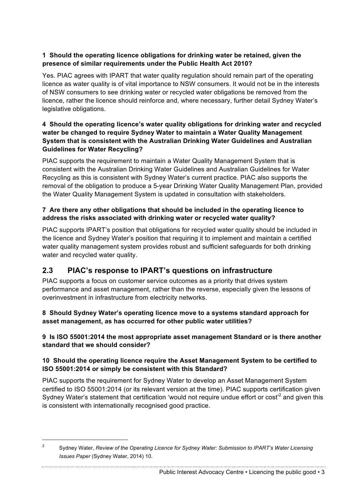#### **1 Should the operating licence obligations for drinking water be retained, given the presence of similar requirements under the Public Health Act 2010?**

Yes. PIAC agrees with IPART that water quality regulation should remain part of the operating licence as water quality is of vital importance to NSW consumers. It would not be in the interests of NSW consumers to see drinking water or recycled water obligations be removed from the licence, rather the licence should reinforce and, where necessary, further detail Sydney Water's legislative obligations.

#### **4 Should the operating licence's water quality obligations for drinking water and recycled water be changed to require Sydney Water to maintain a Water Quality Management System that is consistent with the Australian Drinking Water Guidelines and Australian Guidelines for Water Recycling?**

PIAC supports the requirement to maintain a Water Quality Management System that is consistent with the Australian Drinking Water Guidelines and Australian Guidelines for Water Recycling as this is consistent with Sydney Water's current practice. PIAC also supports the removal of the obligation to produce a 5-year Drinking Water Quality Management Plan, provided the Water Quality Management System is updated in consultation with stakeholders.

#### **7 Are there any other obligations that should be included in the operating licence to address the risks associated with drinking water or recycled water quality?**

PIAC supports IPART's position that obligations for recycled water quality should be included in the licence and Sydney Water's position that requiring it to implement and maintain a certified water quality management system provides robust and sufficient safeguards for both drinking water and recycled water quality.

### **2.3 PIAC's response to IPART's questions on infrastructure**

PIAC supports a focus on customer service outcomes as a priority that drives system performance and asset management, rather than the reverse, especially given the lessons of overinvestment in infrastructure from electricity networks.

**8 Should Sydney Water's operating licence move to a systems standard approach for asset management, as has occurred for other public water utilities?** 

#### **9 Is ISO 55001:2014 the most appropriate asset management Standard or is there another standard that we should consider?**

#### **10 Should the operating licence require the Asset Management System to be certified to ISO 55001:2014 or simply be consistent with this Standard?**

PIAC supports the requirement for Sydney Water to develop an Asset Management System certified to ISO 55001:2014 (or its relevant version at the time). PIAC supports certification given Sydney Water's statement that certification 'would not require undue effort or cost<sup>'2</sup> and given this is consistent with internationally recognised good practice.

 <sup>2</sup> Sydney Water, *Review of the Operating Licence for Sydney Water: Submission to IPART's Water Licensing Issues Paper* (Sydney Water, 2014) 10.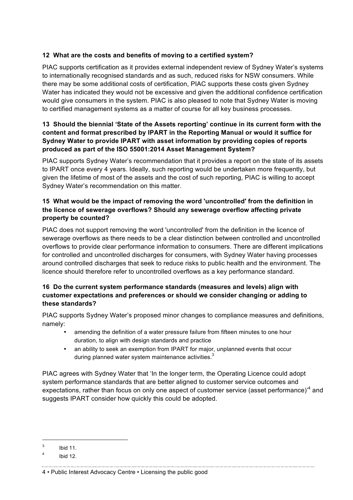#### **12 What are the costs and benefits of moving to a certified system?**

PIAC supports certification as it provides external independent review of Sydney Water's systems to internationally recognised standards and as such, reduced risks for NSW consumers. While there may be some additional costs of certification, PIAC supports these costs given Sydney Water has indicated they would not be excessive and given the additional confidence certification would give consumers in the system. PIAC is also pleased to note that Sydney Water is moving to certified management systems as a matter of course for all key business processes.

#### **13 Should the biennial 'State of the Assets reporting' continue in its current form with the content and format prescribed by IPART in the Reporting Manual or would it suffice for Sydney Water to provide IPART with asset information by providing copies of reports produced as part of the ISO 55001:2014 Asset Management System?**

PIAC supports Sydney Water's recommendation that it provides a report on the state of its assets to IPART once every 4 years. Ideally, such reporting would be undertaken more frequently, but given the lifetime of most of the assets and the cost of such reporting, PIAC is willing to accept Sydney Water's recommendation on this matter.

#### **15 What would be the impact of removing the word 'uncontrolled' from the definition in the licence of sewerage overflows? Should any sewerage overflow affecting private property be counted?**

PIAC does not support removing the word 'uncontrolled' from the definition in the licence of sewerage overflows as there needs to be a clear distinction between controlled and uncontrolled overflows to provide clear performance information to consumers. There are different implications for controlled and uncontrolled discharges for consumers, with Sydney Water having processes around controlled discharges that seek to reduce risks to public health and the environment. The licence should therefore refer to uncontrolled overflows as a key performance standard.

#### **16 Do the current system performance standards (measures and levels) align with customer expectations and preferences or should we consider changing or adding to these standards?**

PIAC supports Sydney Water's proposed minor changes to compliance measures and definitions, namely:

- amending the definition of a water pressure failure from fifteen minutes to one hour duration, to align with design standards and practice
- an ability to seek an exemption from IPART for major, unplanned events that occur during planned water system maintenance activities. $3$

PIAC agrees with Sydney Water that 'In the longer term, the Operating Licence could adopt system performance standards that are better aligned to customer service outcomes and expectations, rather than focus on only one aspect of customer service (asset performance)<sup>4</sup> and suggests IPART consider how quickly this could be adopted.

 $3$  Ibid 11.

 $4$  Ibid 12.

<sup>4</sup> • Public Interest Advocacy Centre • Licensing the public good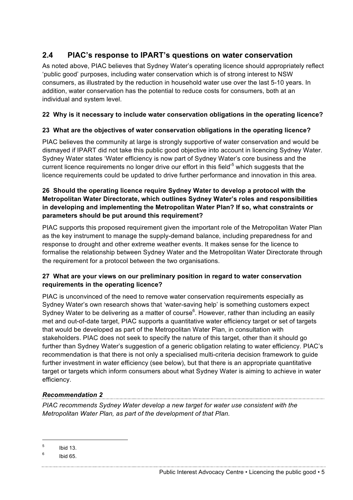### **2.4 PIAC's response to IPART's questions on water conservation**

As noted above, PIAC believes that Sydney Water's operating licence should appropriately reflect 'public good' purposes, including water conservation which is of strong interest to NSW consumers, as illustrated by the reduction in household water use over the last 5-10 years. In addition, water conservation has the potential to reduce costs for consumers, both at an individual and system level.

#### **22 Why is it necessary to include water conservation obligations in the operating licence?**

#### **23 What are the objectives of water conservation obligations in the operating licence?**

PIAC believes the community at large is strongly supportive of water conservation and would be dismayed if IPART did not take this public good objective into account in licencing Sydney Water. Sydney Water states 'Water efficiency is now part of Sydney Water's core business and the current licence requirements no longer drive our effort in this field'<sup>5</sup> which suggests that the licence requirements could be updated to drive further performance and innovation in this area.

#### **26 Should the operating licence require Sydney Water to develop a protocol with the Metropolitan Water Directorate, which outlines Sydney Water's roles and responsibilities in developing and implementing the Metropolitan Water Plan? If so, what constraints or parameters should be put around this requirement?**

PIAC supports this proposed requirement given the important role of the Metropolitan Water Plan as the key instrument to manage the supply-demand balance, including preparedness for and response to drought and other extreme weather events. It makes sense for the licence to formalise the relationship between Sydney Water and the Metropolitan Water Directorate through the requirement for a protocol between the two organisations.

#### **27 What are your views on our preliminary position in regard to water conservation requirements in the operating licence?**

PIAC is unconvinced of the need to remove water conservation requirements especially as Sydney Water's own research shows that 'water-saving help' is something customers expect Sydney Water to be delivering as a matter of course $6$ . However, rather than including an easily met and out-of-date target, PIAC supports a quantitative water efficiency target or set of targets that would be developed as part of the Metropolitan Water Plan, in consultation with stakeholders. PIAC does not seek to specify the nature of this target, other than it should go further than Sydney Water's suggestion of a generic obligation relating to water efficiency. PIAC's recommendation is that there is not only a specialised multi-criteria decision framework to guide further investment in water efficiency (see below), but that there is an appropriate quantitative target or targets which inform consumers about what Sydney Water is aiming to achieve in water efficiency.

### *Recommendation 2*

*PIAC recommends Sydney Water develop a new target for water use consistent with the Metropolitan Water Plan, as part of the development of that Plan.*

Public Interest Advocacy Centre • Licencing the public good • 5

 $5$  Ibid 13.

 $6$  Ibid 65.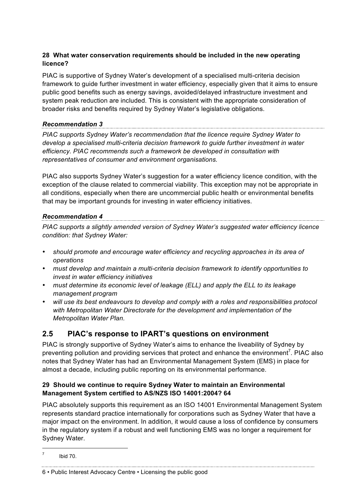#### **28 What water conservation requirements should be included in the new operating licence?**

PIAC is supportive of Sydney Water's development of a specialised multi-criteria decision framework to guide further investment in water efficiency, especially given that it aims to ensure public good benefits such as energy savings, avoided/delayed infrastructure investment and system peak reduction are included. This is consistent with the appropriate consideration of broader risks and benefits required by Sydney Water's legislative obligations.

#### *Recommendation 3*

*PIAC supports Sydney Water's recommendation that the licence require Sydney Water to develop a specialised multi-criteria decision framework to guide further investment in water efficiency. PIAC recommends such a framework be developed in consultation with representatives of consumer and environment organisations.*

PIAC also supports Sydney Water's suggestion for a water efficiency licence condition, with the exception of the clause related to commercial viability. This exception may not be appropriate in all conditions, especially when there are uncommercial public health or environmental benefits that may be important grounds for investing in water efficiency initiatives.

### *Recommendation 4*

*PIAC supports a slightly amended version of Sydney Water's suggested water efficiency licence condition: that Sydney Water:*

- *should promote and encourage water efficiency and recycling approaches in its area of operations*
- *must develop and maintain a multi-criteria decision framework to identify opportunities to invest in water efficiency initiatives*
- *must determine its economic level of leakage (ELL) and apply the ELL to its leakage management program*
- *will use its best endeavours to develop and comply with a roles and responsibilities protocol with Metropolitan Water Directorate for the development and implementation of the Metropolitan Water Plan.*

### **2.5 PIAC's response to IPART's questions on environment**

PIAC is strongly supportive of Sydney Water's aims to enhance the liveability of Sydney by preventing pollution and providing services that protect and enhance the environment<sup>7</sup>. PIAC also notes that Sydney Water has had an Environmental Management System (EMS) in place for almost a decade, including public reporting on its environmental performance.

#### **29 Should we continue to require Sydney Water to maintain an Environmental Management System certified to AS/NZS ISO 14001:2004? 64**

PIAC absolutely supports this requirement as an ISO 14001 Environmental Management System represents standard practice internationally for corporations such as Sydney Water that have a major impact on the environment. In addition, it would cause a loss of confidence by consumers in the regulatory system if a robust and well functioning EMS was no longer a requirement for Sydney Water.

#### 6 • Public Interest Advocacy Centre • Licensing the public good

<sup>-&</sup>lt;br>7 Ibid 70.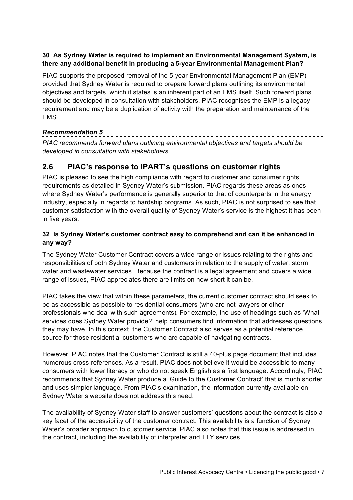#### **30 As Sydney Water is required to implement an Environmental Management System, is there any additional benefit in producing a 5-year Environmental Management Plan?**

PIAC supports the proposed removal of the 5-year Environmental Management Plan (EMP) provided that Sydney Water is required to prepare forward plans outlining its environmental objectives and targets, which it states is an inherent part of an EMS itself. Such forward plans should be developed in consultation with stakeholders. PIAC recognises the EMP is a legacy requirement and may be a duplication of activity with the preparation and maintenance of the EMS.

### *Recommendation 5*

*PIAC recommends forward plans outlining environmental objectives and targets should be developed in consultation with stakeholders.*

### **2.6 PIAC's response to IPART's questions on customer rights**

PIAC is pleased to see the high compliance with regard to customer and consumer rights requirements as detailed in Sydney Water's submission. PIAC regards these areas as ones where Sydney Water's performance is generally superior to that of counterparts in the energy industry, especially in regards to hardship programs. As such, PIAC is not surprised to see that customer satisfaction with the overall quality of Sydney Water's service is the highest it has been in five years.

#### **32 Is Sydney Water's customer contract easy to comprehend and can it be enhanced in any way?**

The Sydney Water Customer Contract covers a wide range or issues relating to the rights and responsibilities of both Sydney Water and customers in relation to the supply of water, storm water and wastewater services. Because the contract is a legal agreement and covers a wide range of issues, PIAC appreciates there are limits on how short it can be.

PIAC takes the view that within these parameters, the current customer contract should seek to be as accessible as possible to residential consumers (who are not lawyers or other professionals who deal with such agreements). For example, the use of headings such as 'What services does Sydney Water provide?' help consumers find information that addresses questions they may have. In this context, the Customer Contract also serves as a potential reference source for those residential customers who are capable of navigating contracts.

However, PIAC notes that the Customer Contract is still a 40-plus page document that includes numerous cross-references. As a result, PIAC does not believe it would be accessible to many consumers with lower literacy or who do not speak English as a first language. Accordingly, PIAC recommends that Sydney Water produce a 'Guide to the Customer Contract' that is much shorter and uses simpler language. From PIAC's examination, the information currently available on Sydney Water's website does not address this need.

The availability of Sydney Water staff to answer customers' questions about the contract is also a key facet of the accessibility of the customer contract. This availability is a function of Sydney Water's broader approach to customer service. PIAC also notes that this issue is addressed in the contract, including the availability of interpreter and TTY services.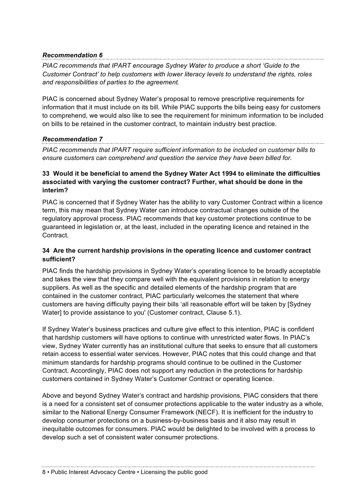#### *Recommendation 6*

*PIAC recommends that IPART encourage Sydney Water to produce a short 'Guide to the Customer Contract' to help customers with lower literacy levels to understand the rights, roles and responsibilities of parties to the agreement.*

PIAC is concerned about Sydney Water's proposal to remove prescriptive requirements for information that it must include on its bill. While PIAC supports the bills being easy for customers to comprehend, we would also like to see the requirement for minimum information to be included on bills to be retained in the customer contract, to maintain industry best practice.

#### *Recommendation 7*

*PIAC recommends that IPART require sufficient information to be included on customer bills to ensure customers can comprehend and question the service they have been billed for.* 

#### **33 Would it be beneficial to amend the Sydney Water Act 1994 to eliminate the difficulties associated with varying the customer contract? Further, what should be done in the interim?**

PIAC is concerned that if Sydney Water has the ability to vary Customer Contract within a licence term, this may mean that Sydney Water can introduce contractual changes outside of the regulatory approval process. PIAC recommends that key customer protections continue to be guaranteed in legislation or, at the least, included in the operating licence and retained in the Contract.

#### **34 Are the current hardship provisions in the operating licence and customer contract sufficient?**

PIAC finds the hardship provisions in Sydney Water's operating licence to be broadly acceptable and takes the view that they compare well with the equivalent provisions in relation to energy suppliers. As well as the specific and detailed elements of the hardship program that are contained in the customer contract, PIAC particularly welcomes the statement that where customers are having difficulty paying their bills 'all reasonable effort will be taken by [Sydney Water] to provide assistance to you' (Customer contract, Clause 5.1).

If Sydney Water's business practices and culture give effect to this intention, PIAC is confident that hardship customers will have options to continue with unrestricted water flows. In PIAC's view, Sydney Water currently has an institutional culture that seeks to ensure that all customers retain access to essential water services. However, PIAC notes that this could change and that minimum standards for hardship programs should continue to be outlined in the Customer Contract. Accordingly, PIAC does not support any reduction in the protections for hardship customers contained in Sydney Water's Customer Contract or operating licence.

Above and beyond Sydney Water's contract and hardship provisions, PIAC considers that there is a need for a consistent set of consumer protections applicable to the water industry as a whole, similar to the National Energy Consumer Framework (NECF). It is inefficient for the industry to develop consumer protections on a business-by-business basis and it also may result in inequitable outcomes for consumers. PIAC would be delighted to be involved with a process to develop such a set of consistent water consumer protections.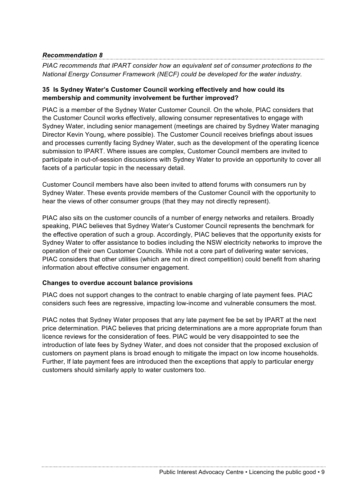#### *Recommendation 8*

*PIAC recommends that IPART consider how an equivalent set of consumer protections to the National Energy Consumer Framework (NECF) could be developed for the water industry.*

#### **35 Is Sydney Water's Customer Council working effectively and how could its membership and community involvement be further improved?**

PIAC is a member of the Sydney Water Customer Council. On the whole, PIAC considers that the Customer Council works effectively, allowing consumer representatives to engage with Sydney Water, including senior management (meetings are chaired by Sydney Water managing Director Kevin Young, where possible). The Customer Council receives briefings about issues and processes currently facing Sydney Water, such as the development of the operating licence submission to IPART. Where issues are complex, Customer Council members are invited to participate in out-of-session discussions with Sydney Water to provide an opportunity to cover all facets of a particular topic in the necessary detail.

Customer Council members have also been invited to attend forums with consumers run by Sydney Water. These events provide members of the Customer Council with the opportunity to hear the views of other consumer groups (that they may not directly represent).

PIAC also sits on the customer councils of a number of energy networks and retailers. Broadly speaking, PIAC believes that Sydney Water's Customer Council represents the benchmark for the effective operation of such a group. Accordingly, PIAC believes that the opportunity exists for Sydney Water to offer assistance to bodies including the NSW electricity networks to improve the operation of their own Customer Councils. While not a core part of delivering water services, PIAC considers that other utilities (which are not in direct competition) could benefit from sharing information about effective consumer engagement.

#### **Changes to overdue account balance provisions**

PIAC does not support changes to the contract to enable charging of late payment fees. PIAC considers such fees are regressive, impacting low-income and vulnerable consumers the most.

PIAC notes that Sydney Water proposes that any late payment fee be set by IPART at the next price determination. PIAC believes that pricing determinations are a more appropriate forum than licence reviews for the consideration of fees. PIAC would be very disappointed to see the introduction of late fees by Sydney Water, and does not consider that the proposed exclusion of customers on payment plans is broad enough to mitigate the impact on low income households. Further, If late payment fees are introduced then the exceptions that apply to particular energy customers should similarly apply to water customers too.